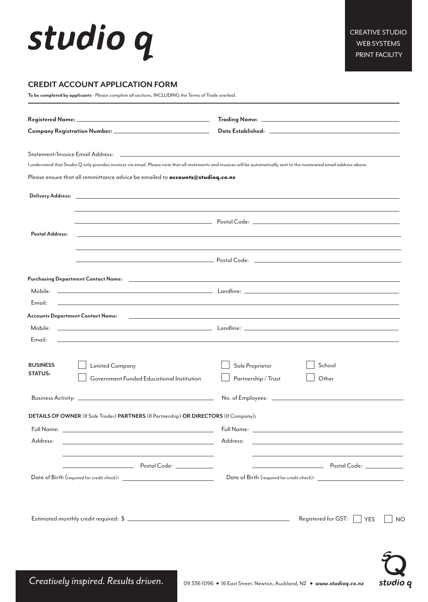## studio q

studio q

### **CREDIT ACCOUNT APPLICATION FORM**

**To be completed by applicants** - Please complete all sections, INCLUDING the Terms of Trade overleaf.

| I understand that Studio Q only provides invoices via email. Please note that all statements and invoices will be automatically sent to the nominated email address above. |                                                                                                                                  |  |  |  |  |
|----------------------------------------------------------------------------------------------------------------------------------------------------------------------------|----------------------------------------------------------------------------------------------------------------------------------|--|--|--|--|
| Please ensure that all remmittance advice be emailed to accounts@studioq.co.nz                                                                                             |                                                                                                                                  |  |  |  |  |
|                                                                                                                                                                            |                                                                                                                                  |  |  |  |  |
| Postal Address:                                                                                                                                                            |                                                                                                                                  |  |  |  |  |
|                                                                                                                                                                            | $\overline{\phantom{a}}$ Postal Code: $\overline{\phantom{a}}$ Postal Code: $\overline{\phantom{a}}$                             |  |  |  |  |
|                                                                                                                                                                            |                                                                                                                                  |  |  |  |  |
| Mobile:<br>Email:                                                                                                                                                          | ,我们也不会有一个人的事情。""我们的人们是不是我们的人,我们也不会有一个人的人,我们也不会有一个人的人,我们也不会有一个人的人,我们也不会有一个人的人,我们也                                                 |  |  |  |  |
|                                                                                                                                                                            |                                                                                                                                  |  |  |  |  |
| Mobile:<br>Email:<br>and the control of the control of the control of the control of the control of the control of the control of the                                      |                                                                                                                                  |  |  |  |  |
| <b>BUSINESS</b><br><b>Limited Company</b><br><b>STATUS:</b><br>Government Funded Educational Institution                                                                   | School<br>Sole Proprietor<br>Partnership / Trust<br>Other                                                                        |  |  |  |  |
|                                                                                                                                                                            |                                                                                                                                  |  |  |  |  |
| DETAILS OF OWNER (If Sole Trader) PARTNERS (If Partnership) OR DIRECTORS (If Company):                                                                                     |                                                                                                                                  |  |  |  |  |
|                                                                                                                                                                            |                                                                                                                                  |  |  |  |  |
| Address:<br><u> 1980 - Johann Barn, mars ann an t-Amhain Aonaich an t-Aonaich an t-Aonaich ann an t-Aonaich ann an t-Aonaich</u>                                           | Address:<br><u> 1989 - Johann John Stein, markin fan it ferstjer fan de ferstjer fan it ferstjer fan it ferstjer fan it fers</u> |  |  |  |  |
| <u> 1989 - Johann Barbara, martxa alemaniar arg</u>                                                                                                                        |                                                                                                                                  |  |  |  |  |
|                                                                                                                                                                            |                                                                                                                                  |  |  |  |  |
|                                                                                                                                                                            | Registered for GST: $\vert$ $\vert$ YES                                                                                          |  |  |  |  |

Creatively inspired. Results driven. 09 336 1096 • 16 East Street, Newton, Auckland, NZ • www.studioq.co.nz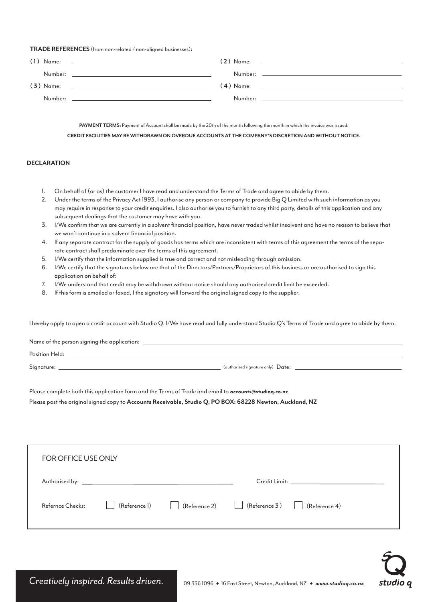#### **TRADE REFERENCES** (from non-related / non-aligned businesses)**:**

| $(1)$ Name: | <u> 1989 - Andrea Andrew Maria (h. 1989).</u>                                                                                                                                                                                 | <b>(2)</b> Name: | <u> 1989 - Andrea State Barbara, amerikan personal di personal dengan personal dengan personal dengan personal de</u> |
|-------------|-------------------------------------------------------------------------------------------------------------------------------------------------------------------------------------------------------------------------------|------------------|-----------------------------------------------------------------------------------------------------------------------|
|             |                                                                                                                                                                                                                               | Number:          |                                                                                                                       |
|             |                                                                                                                                                                                                                               |                  |                                                                                                                       |
| $(3)$ Name: | the process of the control of the control of the control of the control of the control of the control of the control of the control of the control of the control of the control of the control of the control of the control |                  |                                                                                                                       |
|             |                                                                                                                                                                                                                               |                  |                                                                                                                       |
|             |                                                                                                                                                                                                                               |                  |                                                                                                                       |

PAYMENT TERMS: Payment of Account shall be made by the 20th of the month following the month in which the invoice was issued. **CREDIT FACILITIES MAY BE WITHDRAWN ON OVERDUE ACCOUNTS AT THE COMPANY'S DISCRETION AND WITHOUT NOTICE.**

#### **DECLARATION**

- 1. On behalf of (or as) the customer I have read and understand the Terms of Trade and agree to abide by them.
- 2. Under the terms of the Privacy Act 1993, I authorise any person or company to provide Big Q Limited with such information as you may require in response to your credit enquiries. I also authorise you to furnish to any third party, details of this application and any subsequent dealings that the customer may have with you.
- 3. I/We confirm that we are currently in a solvent financial position, have never traded whilst insolvent and have no reason to believe that we won't continue in a solvent financial position.
- 4. If any separate contract for the supply of goods has terms which are inconsistent with terms of this agreement the terms of the separate contract shall predominate over the terms of this agreement.
- 5. I/We certify that the information supplied is true and correct and not misleading through omission.
- 6. I/We certify that the signatures below are that of the Directors/Partners/Proprietors of this business or are authorised to sign this application on behalf of:
- 7. I/We understand that credit may be withdrawn without notice should any authorised credit limit be exceeded.
- 8. If this form is emailed or faxed, I the signatory will forward the original signed copy to the supplier.

I hereby apply to open a credit account with Studio Q. I/We have read and fully understand Studio Q's Terms of Trade and agree to abide by them.

| Name of the person signing the application: |                                   |  |  |  |  |  |  |  |
|---------------------------------------------|-----------------------------------|--|--|--|--|--|--|--|
| Position Held:                              |                                   |  |  |  |  |  |  |  |
| Signature:                                  | (authorised signature only) Date: |  |  |  |  |  |  |  |
|                                             |                                   |  |  |  |  |  |  |  |

Please complete both this application form and the Terms of Trade and email to **accounts@studioq.co.nz**

Please post the original signed copy to **Accounts Receivable, Studio Q, PO BOX: 68228 Newton, Auckland, NZ**

| FOR OFFICE USE ONLY |              |                                                                                                                                                                            |  |  |  |  |  |  |  |
|---------------------|--------------|----------------------------------------------------------------------------------------------------------------------------------------------------------------------------|--|--|--|--|--|--|--|
|                     |              |                                                                                                                                                                            |  |  |  |  |  |  |  |
| Refernce Checks:    | $\mathbf{1}$ | $\left[\begin{array}{ccc} \text{(Reference 1)} & \text{(Reference 2)} \end{array}\right]$ (Reference 3) $\left[\begin{array}{ccc} \text{(Reference 4)} \end{array}\right]$ |  |  |  |  |  |  |  |

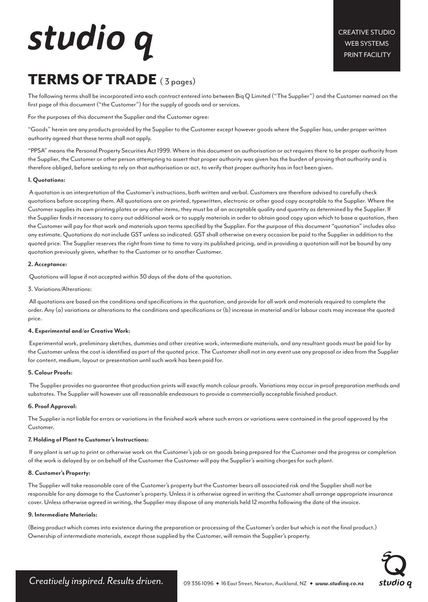# studio q

### TERMS OF TRADE (3 pages)

The following terms shall be incorporated into each contract entered into between Biq Q Limited ("The Supplier") and the Customer named on the first page of this document ("the Customer") for the supply of goods and or services.

For the purposes of this document the Supplier and the Customer agree:

"Goods" herein are any products provided by the Supplier to the Customer except however goods where the Supplier has, under proper written authority agreed that these terms shall not apply.

"PPSA" means the Personal Property Securities Act 1999. Where in this document an authorisation or act requires there to be proper authority from the Supplier, the Customer or other person attempting to assert that proper authority was given has the burden of proving that authority and is therefore obliged, before seeking to rely on that authorisation or act, to verify that proper authority has in fact been given.

#### **1. Quotations:**

 A quotation is an interpretation of the Customer's instructions, both written and verbal. Customers are therefore advised to carefully check quotations before accepting them. All quotations are on printed, typewritten, electronic or other good copy acceptable to the Supplier. Where the Customer supplies its own printing plates or any other items, they must be of an acceptable quality and quantity as determined by the Supplier. If the Supplier finds it necessary to carry out additional work or to supply materials in order to obtain good copy upon which to base a quotation, then the Customer will pay for that work and materials upon terms specified by the Supplier. For the purpose of this document "quotation" includes also any estimate. Quotations do not include GST unless so indicated. GST shall otherwise on every occasion be paid to the Supplier in addition to the quoted price. The Supplier reserves the right from time to time to vary its published pricing, and in providing a quotation will not be bound by any quotation previously given, whether to the Customer or to another Customer.

#### **2. Acceptance:**

Quotations will lapse if not accepted within 30 days of the date of the quotation.

3. Variations/Alterations:

 All quotations are based on the conditions and specifications in the quotation, and provide for all work and materials required to complete the order. Any (a) variations or alterations to the conditions and specifications or (b) increase in material and/or labour costs may increase the quoted price.

#### **4. Experimental and/or Creative Work:**

 Experimental work, preliminary sketches, dummies and other creative work, intermediate materials, and any resultant goods must be paid for by the Customer unless the cost is identified as part of the quoted price. The Customer shall not in any event use any proposal or idea from the Supplier for content, medium, layout or presentation until such work has been paid for.

#### **5. Colour Proofs:**

 The Supplier provides no guarantee that production prints will exactly match colour proofs. Variations may occur in proof preparation methods and substrates. The Supplier will however use all reasonable endeavours to provide a commercially acceptable finished product.

#### **6. Proof Approval:**

The Supplier is not liable for errors or variations in the finished work where such errors or variations were contained in the proof approved by the Customer.

#### **7. Holding of Plant to Customer's Instructions:**

 If any plant is set up to print or otherwise work on the Customer's job or on goods being prepared for the Customer and the progress or completion of the work is delayed by or on behalf of the Customer the Customer will pay the Supplier's waiting charges for such plant.

#### **8. Customer's Property:**

The Supplier will take reasonable care of the Customer's property but the Customer bears all associated risk and the Supplier shall not be responsible for any damage to the Customer's property. Unless it is otherwise agreed in writing the Customer shall arrange appropriate insurance cover. Unless otherwise agreed in writing, the Supplier may dispose of any materials held 12 months following the date of the invoice.

#### **9. Intermediate Materials:**

(Being product which comes into existence during the preparation or processing of the Customer's order but which is not the final product.) Ownership of intermediate materials, except those supplied by the Customer, will remain the Supplier's property.

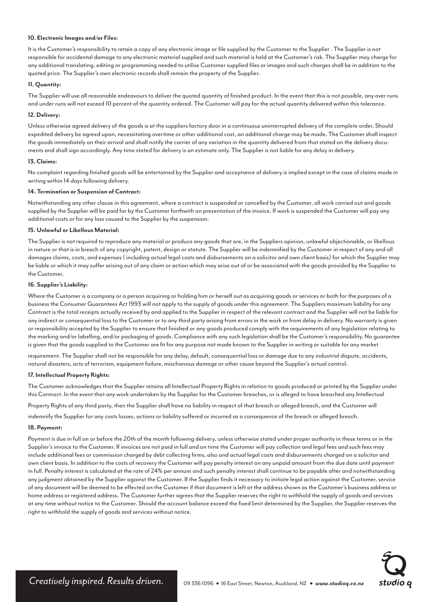#### **10. Electronic Images and/or Files:**

It is the Customer's responsibility to retain a copy of any electronic image or file supplied by the Customer to the Supplier . The Supplier is not responsible for accidental damage to any electronic material supplied and such material is held at the Customer's risk. The Supplier may charge for any additional translating, editing or programming needed to utilise Customer supplied files or images and such charges shall be in addition to the quoted price. The Supplier's own electronic records shall remain the property of the Supplier.

#### **11. Quantity:**

The Supplier will use all reasonable endeavours to deliver the quoted quantity of finished product. In the event that this is not possible, any over runs and under runs will not exceed 10 percent of the quantity ordered. The Customer will pay for the actual quantity delivered within this tolerance.

#### **12. Delivery:**

Unless otherwise agreed delivery of the goods is at the suppliers factory door in a continuous uninterrupted delivery of the complete order. Should expedited delivery be agreed upon, necessitating overtime or other additional cost, an additional charge may be made. The Customer shall inspect the goods immediately on their arrival and shall notify the carrier of any variation in the quantity delivered from that stated on the delivery documents and shall sign accordingly. Any time stated for delivery is an estimate only. The Supplier is not liable for any delay in delivery.

#### **13. Claims:**

No complaint regarding finished goods will be entertained by the Supplier and acceptance of delivery is implied except in the case of claims made in writing within 14 days following delivery.

#### **14. Termination or Suspension of Contract:**

Notwithstanding any other clause in this agreement, where a contract is suspended or cancelled by the Customer, all work carried out and goods supplied by the Supplier will be paid for by the Customer forthwith on presentation of the invoice. If work is suspended the Customer will pay any additional costs or for any loss caused to the Supplier by the suspension.

#### **15. Unlawful or Libellous Material:**

The Supplier is not required to reproduce any material or produce any goods that are, in the Suppliers opinion, unlawful objectionable, or libellous in nature or that is in breach of any copyright, patent, design or statute. The Supplier will be indemnified by the Customer in respect of any and all damages claims, costs, and expenses ( including actual legal costs and disbursements on a solicitor and own client basis) for which the Supplier may be liable or which it may suffer arising out of any claim or action which may arise out of or be associated with the goods provided by the Supplier to the Customer.

#### **16. Supplier's Liability:**

Where the Customer is a company or a person acquiring or holding him or herself out as acquiring goods or services or both for the purposes of a business the Consumer Guarantees Act 1993 will not apply to the supply of goods under this agreement. The Suppliers maximum liability for any Contract is the total receipts actually received by and applied to the Supplier in respect of the relevant contract and the Supplier will not be liable for any indirect or consequential loss to the Customer or to any third party arising from errors in the work or from delay in delivery. No warranty is given or responsibility accepted by the Supplier to ensure that finished or any goods produced comply with the requirements of any legislation relating to the marking and/or labelling, and/or packaging of goods. Compliance with any such legislation shall be the Customer's responsibility. No guarantee is given that the goods supplied to the Customer are fit for any purpose not made known to the Supplier in writing or suitable for any market

requirement. The Supplier shall not be responsible for any delay, default, consequential loss or damage due to any industrial dispute, accidents, natural disasters, acts of terrorism, equipment failure, mischievous damage or other cause beyond the Supplier's actual control.

#### **17. Intellectual Property Rights:**

The Customer acknowledges that the Supplier retains all Intellectual Property Rights in relation to goods produced or printed by the Supplier under this Contract. In the event that any work undertaken by the Supplier for the Customer breaches, or is alleged to have breached any Intellectual

Property Rights of any third party, then the Supplier shall have no liability in respect of that breach or alleged breach, and the Customer will

indemnify the Supplier for any costs losses, actions or liability suffered or incurred as a consequence of the breach or alleged breach.

#### **18. Payment:**

Payment is due in full on or before the 20th of the month following delivery, unless otherwise stated under proper authority in these terms or in the Supplier's invoice to the Customer. If invoices are not paid in full and on time the Customer will pay collection and legal fees and such fees may include additional fees or commission charged by debt collecting firms, also and actual legal costs and disbursements charged on a solicitor and own client basis. In addition to the costs of recovery the Customer will pay penalty interest on any unpaid amount from the due date until payment in full. Penalty interest is calculated at the rate of 24% per annum and such penalty interest shall continue to be payable after and notwithstanding any judgment obtained by the Supplier against the Customer. If the Supplier finds it necessary to initiate legal action against the Customer, service of any document will be deemed to be effected on the Customer if that document is left at the address shown as the Customer's business address or home address or registered address. The Customer further agrees that the Supplier reserves the right to withhold the supply of goods and services at any time without notice to the Customer. Should the account balance exceed the fixed limit determined by the Supplier, the Supplier reserves the right to withhold the supply of goods and services without notice.